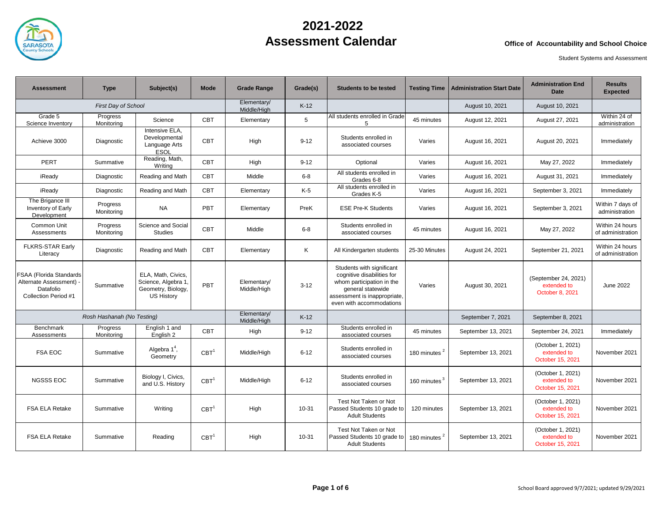

| <b>Assessment</b>                                                                       | <b>Type</b>                | Subject(s)                                                                          | Mode             | <b>Grade Range</b>         | Grade(s) | <b>Students to be tested</b>                                                                                                                                          | <b>Testing Time</b>      | <b>Administration Start Date</b> | <b>Administration End</b><br><b>Date</b>               | <b>Results</b><br><b>Expected</b>    |
|-----------------------------------------------------------------------------------------|----------------------------|-------------------------------------------------------------------------------------|------------------|----------------------------|----------|-----------------------------------------------------------------------------------------------------------------------------------------------------------------------|--------------------------|----------------------------------|--------------------------------------------------------|--------------------------------------|
|                                                                                         | <b>First Day of School</b> |                                                                                     |                  | Elementary/<br>Middle/High | $K-12$   |                                                                                                                                                                       |                          | August 10, 2021                  | August 10, 2021                                        |                                      |
| Grade 5<br>Science Inventory                                                            | Progress<br>Monitoring     | Science                                                                             | <b>CBT</b>       | Elementary                 | 5        | All students enrolled in Grade<br>5                                                                                                                                   | 45 minutes               | August 12, 2021                  | August 27, 2021                                        | Within 24 of<br>administration       |
| Achieve 3000                                                                            | Diagnostic                 | Intensive ELA,<br>Developmental<br>Language Arts<br><b>ESOL</b>                     | <b>CBT</b>       | High                       | $9 - 12$ | Students enrolled in<br>associated courses                                                                                                                            | Varies                   | August 16, 2021                  | August 20, 2021                                        | Immediately                          |
| PERT                                                                                    | Summative                  | Reading, Math,<br>Writing                                                           | <b>CBT</b>       | High                       | $9 - 12$ | Optional                                                                                                                                                              | Varies                   | August 16, 2021                  | May 27, 2022                                           | Immediately                          |
| iReady                                                                                  | Diagnostic                 | Reading and Math                                                                    | <b>CBT</b>       | Middle                     | $6-8$    | All students enrolled in<br>Grades 6-8                                                                                                                                | Varies                   | August 16, 2021                  | August 31, 2021                                        | Immediately                          |
| iReady                                                                                  | Diagnostic                 | Reading and Math                                                                    | <b>CBT</b>       | Elementary                 | K-5      | All students enrolled in<br>Grades K-5                                                                                                                                | Varies                   | August 16, 2021                  | September 3, 2021                                      | Immediately                          |
| The Brigance III<br>Inventory of Early<br>Development                                   | Progress<br>Monitorina     | <b>NA</b>                                                                           | PBT              | Elementary                 | PreK     | <b>ESE Pre-K Students</b>                                                                                                                                             | Varies                   | August 16, 2021                  | September 3, 2021                                      | Within 7 days of<br>administration   |
| Common Unit<br>Assessments                                                              | Progress<br>Monitoring     | Science and Social<br><b>Studies</b>                                                | <b>CBT</b>       | Middle                     | $6 - 8$  | Students enrolled in<br>associated courses                                                                                                                            | 45 minutes               | August 16, 2021                  | May 27, 2022                                           | Within 24 hours<br>of administration |
| <b>FLKRS-STAR Early</b><br>Literacy                                                     | Diagnostic                 | Reading and Math                                                                    | <b>CBT</b>       | Elementary                 | Κ        | All Kindergarten students                                                                                                                                             | 25-30 Minutes            | August 24, 2021                  | September 21, 2021                                     | Within 24 hours<br>of administration |
| FSAA (Florida Standards<br>Alternate Assessment) -<br>Datafolio<br>Collection Period #1 | Summative                  | ELA. Math. Civics.<br>Science, Algebra 1<br>Geometry, Biology,<br><b>US History</b> | PBT              | Elementary/<br>Middle/High | $3 - 12$ | Students with significant<br>cognitive disabilities for<br>whom participation in the<br>general statewide<br>assessment is inappropriate,<br>even with accommodations | Varies                   | August 30, 2021                  | (September 24, 2021)<br>extended to<br>October 8, 2021 | June 2022                            |
|                                                                                         | Rosh Hashanah (No Testing) |                                                                                     |                  | Elementary/<br>Middle/High | $K-12$   |                                                                                                                                                                       |                          | September 7, 2021                | September 8, 2021                                      |                                      |
| Benchmark<br>Assessments                                                                | Progress<br>Monitorina     | English 1 and<br>English 2                                                          | <b>CBT</b>       | High                       | $9 - 12$ | Students enrolled in<br>associated courses                                                                                                                            | 45 minutes               | September 13, 2021               | September 24, 2021                                     | Immediately                          |
| <b>FSA EOC</b>                                                                          | Summative                  | Algebra $14$ ,<br>Geometry                                                          | CBT <sup>1</sup> | Middle/High                | $6 - 12$ | Students enrolled in<br>associated courses                                                                                                                            | 180 minutes <sup>2</sup> | September 13, 2021               | (October 1, 2021)<br>extended to<br>October 15, 2021   | November 2021                        |
| <b>NGSSS EOC</b>                                                                        | Summative                  | Biology I, Civics,<br>and U.S. History                                              | CBT <sup>1</sup> | Middle/High                | $6 - 12$ | Students enrolled in<br>associated courses                                                                                                                            | 160 minutes <sup>3</sup> | September 13, 2021               | (October 1, 2021)<br>extended to<br>October 15, 2021   | November 2021                        |
| <b>FSA ELA Retake</b>                                                                   | Summative                  | Writing                                                                             | CBT <sup>1</sup> | High                       | 10-31    | Test Not Taken or Not<br>Passed Students 10 grade to<br><b>Adult Students</b>                                                                                         | 120 minutes              | September 13, 2021               | (October 1, 2021)<br>extended to<br>October 15, 2021   | November 2021                        |
| <b>FSA ELA Retake</b>                                                                   | Summative                  | Reading                                                                             | CBT <sup>1</sup> | High                       | 10-31    | Test Not Taken or Not<br>Passed Students 10 grade to<br><b>Adult Students</b>                                                                                         | 180 minutes <sup>2</sup> | September 13, 2021               | (October 1, 2021)<br>extended to<br>October 15, 2021   | November 2021                        |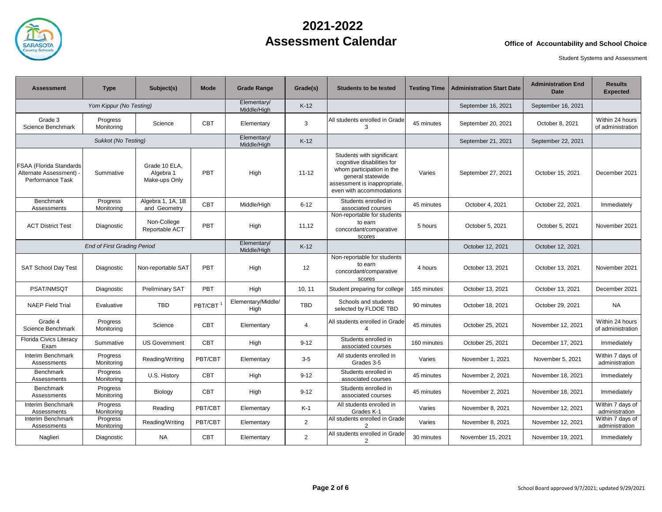

| <b>Assessment</b>                                                    | <b>Type</b>                        | Subject(s)                                  | Mode                       | <b>Grade Range</b>         | Grade(s)       | <b>Students to be tested</b>                                                                                                                                          | <b>Testing Time</b> | <b>Administration Start Date</b> | <b>Administration End</b><br>Date | <b>Results</b><br><b>Expected</b>    |
|----------------------------------------------------------------------|------------------------------------|---------------------------------------------|----------------------------|----------------------------|----------------|-----------------------------------------------------------------------------------------------------------------------------------------------------------------------|---------------------|----------------------------------|-----------------------------------|--------------------------------------|
|                                                                      | Yom Kippur (No Testing)            |                                             | Elementary/<br>Middle/High | $K-12$                     |                |                                                                                                                                                                       | September 16, 2021  | September 16, 2021               |                                   |                                      |
| Grade 3<br>Science Benchmark                                         | Progress<br>Monitoring             | Science                                     | <b>CBT</b>                 | Elementary                 | 3              | All students enrolled in Grade<br>3                                                                                                                                   | 45 minutes          | September 20, 2021               | October 8, 2021                   | Within 24 hours<br>of administration |
|                                                                      | Sukkot (No Testing)                |                                             |                            | Elementary/<br>Middle/High | $K-12$         |                                                                                                                                                                       |                     | September 21, 2021               | September 22, 2021                |                                      |
| FSAA (Florida Standards<br>Alternate Assessment)<br>Performance Task | Summative                          | Grade 10 ELA.<br>Algebra 1<br>Make-ups Only | PBT                        | High                       | $11 - 12$      | Students with significant<br>cognitive disabilities for<br>whom participation in the<br>general statewide<br>assessment is inappropriate,<br>even with accommodations | Varies              | September 27, 2021               | October 15, 2021                  | December 2021                        |
| Benchmark<br>Assessments                                             | Progress<br>Monitoring             | Algebra 1, 1A, 1B<br>and Geometry           | <b>CBT</b>                 | Middle/High                | $6 - 12$       | Students enrolled in<br>associated courses                                                                                                                            | 45 minutes          | October 4, 2021                  | October 22, 2021                  | Immediately                          |
| <b>ACT District Test</b>                                             | Diagnostic                         | Non-College<br>Reportable ACT               | PBT                        | High                       | 11,12          | Non-reportable for students<br>to earn<br>concordant/comparative<br>scores                                                                                            | 5 hours             | October 5, 2021                  | October 5, 2021                   | November 2021                        |
|                                                                      | <b>End of First Grading Period</b> |                                             | Elementary/<br>Middle/High | $K-12$                     |                |                                                                                                                                                                       | October 12, 2021    | October 12, 2021                 |                                   |                                      |
| <b>SAT School Day Test</b>                                           | Diagnostic                         | Non-reportable SAT                          | PBT                        | High                       | 12             | Non-reportable for students<br>to earn<br>concordant/comparative<br>scores                                                                                            | 4 hours             | October 13, 2021                 | October 13, 2021                  | November 2021                        |
| PSAT/NMSQT                                                           | Diagnostic                         | Preliminary SAT                             | <b>PBT</b>                 | High                       | 10, 11         | Student preparing for college                                                                                                                                         | 165 minutes         | October 13, 2021                 | October 13, 2021                  | December 2021                        |
| <b>NAEP Field Trial</b>                                              | Evaluative                         | TBD                                         | PBT/CBT                    | Elementary/Middle/<br>High | <b>TBD</b>     | Schools and students<br>selected by FLDOE TBD                                                                                                                         | 90 minutes          | October 18, 2021                 | October 29, 2021                  | NA                                   |
| Grade 4<br>Science Benchmark                                         | Progress<br>Monitoring             | Science                                     | <b>CBT</b>                 | Elementary                 | 4              | All students enrolled in Grade                                                                                                                                        | 45 minutes          | October 25, 2021                 | November 12, 2021                 | Within 24 hours<br>of administration |
| Florida Civics Literacy<br>Exam                                      | Summative                          | <b>US Government</b>                        | CBT                        | High                       | $9 - 12$       | Students enrolled in<br>associated courses                                                                                                                            | 160 minutes         | October 25, 2021                 | December 17, 2021                 | Immediately                          |
| Interim Benchmark<br>Assessments                                     | Progress<br>Monitorina             | Reading/Writing                             | PBT/CBT                    | Elementary                 | $3-5$          | All students enrolled in<br>Grades 3-5                                                                                                                                | Varies              | November 1, 2021                 | November 5, 2021                  | Within 7 days of<br>administration   |
| Benchmark<br>Assessments                                             | Progress<br>Monitoring             | U.S. History                                | <b>CBT</b>                 | High                       | $9 - 12$       | Students enrolled in<br>associated courses                                                                                                                            | 45 minutes          | November 2, 2021                 | November 18, 2021                 | Immediately                          |
| <b>Benchmark</b><br>Assessments                                      | Progress<br>Monitoring             | Biology                                     | <b>CBT</b>                 | High                       | $9 - 12$       | Students enrolled in<br>associated courses                                                                                                                            | 45 minutes          | November 2, 2021                 | November 18, 2021                 | Immediately                          |
| Interim Benchmark<br>Assessments                                     | Progress<br>Monitorina             | Reading                                     | PBT/CBT                    | Elementary                 | $K-1$          | All students enrolled in<br>Grades K-1                                                                                                                                | Varies              | November 8, 2021                 | November 12, 2021                 | Within 7 days of<br>administration   |
| Interim Benchmark<br>Assessments                                     | Progress<br>Monitoring             | Reading/Writing                             | PBT/CBT                    | Elementary                 | $\overline{2}$ | All students enrolled in Grade<br>2                                                                                                                                   | Varies              | November 8, 2021                 | November 12, 2021                 | Within 7 days of<br>administration   |
| Naglieri                                                             | Diagnostic                         | <b>NA</b>                                   | <b>CBT</b>                 | Elementary                 | $\overline{2}$ | All students enrolled in Grade<br>2                                                                                                                                   | 30 minutes          | November 15, 2021                | November 19, 2021                 | Immediately                          |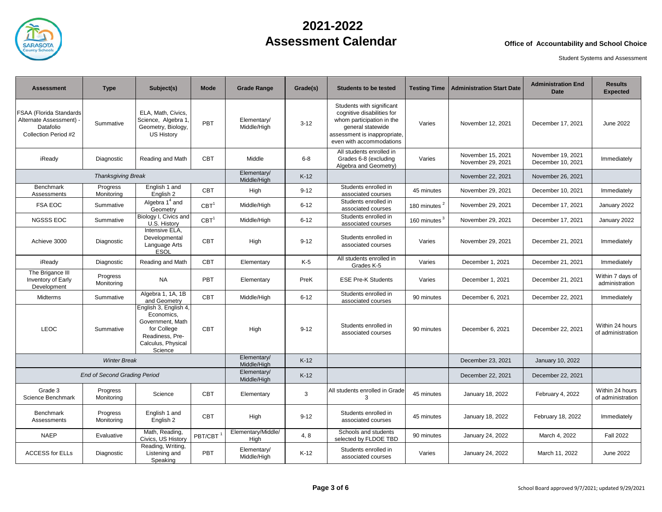

| <b>Assessment</b>                                                                       | <b>Type</b>                         | Subject(s)                                                                                                                 | Mode                 | <b>Grade Range</b>         | Grade(s) | <b>Students to be tested</b>                                                                                                                                          | <b>Testing Time</b>      | <b>Administration Start Date</b>       | <b>Administration End</b><br>Date      | <b>Results</b><br><b>Expected</b>    |
|-----------------------------------------------------------------------------------------|-------------------------------------|----------------------------------------------------------------------------------------------------------------------------|----------------------|----------------------------|----------|-----------------------------------------------------------------------------------------------------------------------------------------------------------------------|--------------------------|----------------------------------------|----------------------------------------|--------------------------------------|
| FSAA (Florida Standards<br>Alternate Assessment) -<br>Datafolio<br>Collection Period #2 | Summative                           | ELA, Math, Civics,<br>Science, Algebra 1<br>Geometry, Biology,<br><b>US History</b>                                        | PBT                  | Elementary/<br>Middle/High | $3 - 12$ | Students with significant<br>cognitive disabilities for<br>whom participation in the<br>general statewide<br>assessment is inappropriate,<br>even with accommodations | Varies                   | November 12, 2021                      | December 17, 2021                      | <b>June 2022</b>                     |
| iReady                                                                                  | Diagnostic                          | Reading and Math                                                                                                           | <b>CBT</b>           | Middle                     | $6 - 8$  | All students enrolled in<br>Grades 6-8 (excluding<br>Algebra and Geometry)                                                                                            | Varies                   | November 15, 2021<br>November 29, 2021 | November 19, 2021<br>December 10, 2021 | Immediately                          |
| <b>Thanksgiving Break</b>                                                               |                                     |                                                                                                                            |                      | Elementary/<br>Middle/High | $K-12$   |                                                                                                                                                                       |                          | November 22, 2021                      | November 26, 2021                      |                                      |
| <b>Benchmark</b><br>Assessments                                                         | Progress<br>Monitoring              | English 1 and<br>English 2                                                                                                 | <b>CBT</b>           | High                       | $9 - 12$ | Students enrolled in<br>associated courses                                                                                                                            | 45 minutes               | November 29, 2021                      | December 10, 2021                      | Immediately                          |
| <b>FSA EOC</b>                                                                          | Summative                           | Algebra 1 <sup>4</sup> and<br>Geometry                                                                                     | CBT <sup>1</sup>     | Middle/High                | $6 - 12$ | Students enrolled in<br>associated courses                                                                                                                            | 180 minutes $^2$         | November 29, 2021                      | December 17, 2021                      | January 2022                         |
| <b>NGSSS EOC</b>                                                                        | Summative                           | Biology I, Civics and<br>U.S. History                                                                                      | CBT <sup>1</sup>     | Middle/High                | $6 - 12$ | Students enrolled in<br>associated courses                                                                                                                            | 160 minutes <sup>3</sup> | November 29, 2021                      | December 17, 2021                      | January 2022                         |
| Achieve 3000                                                                            | Diagnostic                          | Intensive ELA.<br>Developmental<br>Language Arts<br><b>ESOL</b>                                                            | <b>CBT</b>           | High                       | $9 - 12$ | Students enrolled in<br>associated courses                                                                                                                            | Varies                   | November 29, 2021                      | December 21, 2021                      | Immediately                          |
| iReady                                                                                  | Diagnostic                          | Reading and Math                                                                                                           | <b>CBT</b>           | Elementary                 | $K-5$    | All students enrolled in<br>Grades K-5                                                                                                                                | Varies                   | December 1, 2021                       | December 21, 2021                      | Immediately                          |
| The Brigance III<br>Inventory of Early<br>Development                                   | Progress<br>Monitoring              | <b>NA</b>                                                                                                                  | PBT                  | Elementary                 | PreK     | <b>ESE Pre-K Students</b>                                                                                                                                             | Varies                   | December 1, 2021                       | December 21, 2021                      | Within 7 days of<br>administration   |
| Midterms                                                                                | Summative                           | Algebra 1, 1A, 1B<br>and Geometry                                                                                          | <b>CBT</b>           | Middle/High                | $6 - 12$ | Students enrolled in<br>associated courses                                                                                                                            | 90 minutes               | December 6, 2021                       | December 22, 2021                      | Immediately                          |
| <b>LEOC</b>                                                                             | Summative                           | English 3, English 4,<br>Economics.<br>Government, Math<br>for College<br>Readiness, Pre-<br>Calculus, Physical<br>Science | <b>CBT</b>           | High                       | $9 - 12$ | Students enrolled in<br>associated courses                                                                                                                            | 90 minutes               | December 6, 2021                       | December 22, 2021                      | Within 24 hours<br>of administration |
|                                                                                         | <b>Winter Break</b>                 |                                                                                                                            |                      | Elementary/<br>Middle/High | $K-12$   |                                                                                                                                                                       |                          | December 23, 2021                      | January 10, 2022                       |                                      |
|                                                                                         | <b>End of Second Grading Period</b> |                                                                                                                            |                      | Elementary/<br>Middle/High | $K-12$   |                                                                                                                                                                       |                          | December 22, 2021                      | December 22, 2021                      |                                      |
| Grade 3<br>Science Benchmark                                                            | Progress<br>Monitoring              | Science                                                                                                                    | <b>CBT</b>           | Elementary                 | 3        | All students enrolled in Grade<br>3                                                                                                                                   | 45 minutes               | January 18, 2022                       | February 4, 2022                       | Within 24 hours<br>of administration |
| <b>Benchmark</b><br>Assessments                                                         | Progress<br>Monitoring              | English 1 and<br>English 2                                                                                                 | <b>CBT</b>           | High                       | $9 - 12$ | Students enrolled in<br>associated courses                                                                                                                            | 45 minutes               | January 18, 2022                       | February 18, 2022                      | Immediately                          |
| <b>NAEP</b>                                                                             | Evaluative                          | Math, Reading,<br>Civics, US History                                                                                       | PBT/CBT <sup>1</sup> | Elementary/Middle/<br>High | 4,8      | Schools and students<br>selected by FLDOE TBD                                                                                                                         | 90 minutes               | January 24, 2022                       | March 4, 2022                          | <b>Fall 2022</b>                     |
| <b>ACCESS for ELLs</b>                                                                  | Diagnostic                          | Reading, Writing,<br>Listening and<br>Speaking                                                                             | PBT                  | Elementary/<br>Middle/High | $K-12$   | Students enrolled in<br>associated courses                                                                                                                            | Varies                   | January 24, 2022                       | March 11, 2022                         | <b>June 2022</b>                     |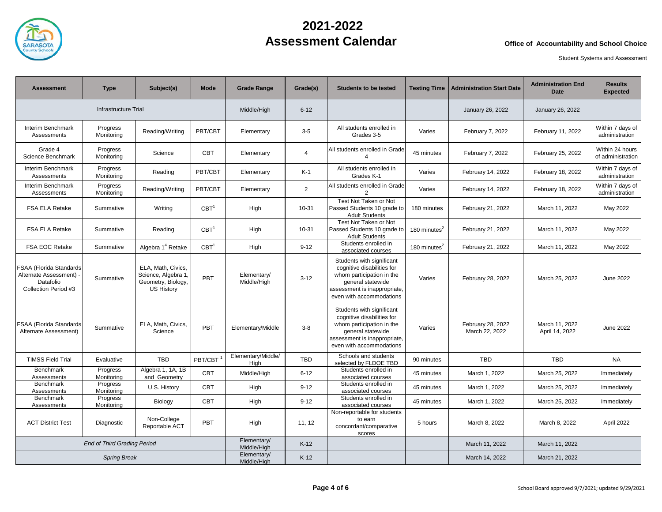

| <b>Assessment</b>                                                                       | <b>Type</b>                        | Subject(s)                                                                           | Mode                 | <b>Grade Range</b>         | Grade(s)       | <b>Students to be tested</b>                                                                                                                                          |                          | <b>Testing Time   Administration Start Date</b> | <b>Administration End</b><br><b>Date</b> | <b>Results</b><br><b>Expected</b>    |
|-----------------------------------------------------------------------------------------|------------------------------------|--------------------------------------------------------------------------------------|----------------------|----------------------------|----------------|-----------------------------------------------------------------------------------------------------------------------------------------------------------------------|--------------------------|-------------------------------------------------|------------------------------------------|--------------------------------------|
|                                                                                         | Infrastructure Trial               |                                                                                      |                      | Middle/High                | $6 - 12$       |                                                                                                                                                                       |                          | January 26, 2022                                | January 26, 2022                         |                                      |
| Interim Benchmark<br>Assessments                                                        | Progress<br>Monitoring             | Reading/Writing                                                                      | PBT/CBT              | Elementary                 | $3 - 5$        | All students enrolled in<br>Grades 3-5                                                                                                                                | Varies                   | February 7, 2022                                | February 11, 2022                        | Within 7 days of<br>administration   |
| Grade 4<br>Science Benchmark                                                            | Progress<br>Monitoring             | Science                                                                              | <b>CBT</b>           | Elementary                 | $\overline{4}$ | All students enrolled in Grade                                                                                                                                        | 45 minutes               | February 7, 2022                                | February 25, 2022                        | Within 24 hours<br>of administration |
| Interim Benchmark<br>Assessments                                                        | Progress<br>Monitoring             | Reading                                                                              | PBT/CBT              | Elementary                 | $K-1$          | All students enrolled in<br>Grades K-1                                                                                                                                | Varies                   | February 14, 2022                               | February 18, 2022                        | Within 7 days of<br>administration   |
| Interim Benchmark<br>Assessments                                                        | Progress<br>Monitoring             | Reading/Writing                                                                      | PBT/CBT              | Elementary                 | $\overline{2}$ | All students enrolled in Grade<br>$\overline{2}$                                                                                                                      | Varies                   | February 14, 2022                               | February 18, 2022                        | Within 7 days of<br>administration   |
| FSA ELA Retake                                                                          | Summative                          | Writing                                                                              | CBT <sup>1</sup>     | High                       | 10-31          | Test Not Taken or Not<br>Passed Students 10 grade to<br><b>Adult Students</b>                                                                                         | 180 minutes              | February 21, 2022                               | March 11, 2022                           | May 2022                             |
| FSA ELA Retake                                                                          | Summative                          | Reading                                                                              | CBT <sup>1</sup>     | High                       | 10-31          | Test Not Taken or Not<br>Passed Students 10 grade to<br><b>Adult Students</b>                                                                                         | 180 minutes <sup>2</sup> | February 21, 2022                               | March 11, 2022                           | May 2022                             |
| <b>FSA EOC Retake</b>                                                                   | Summative                          | Algebra 1 <sup>4</sup> Retake                                                        | CBT <sup>1</sup>     | High                       | $9 - 12$       | Students enrolled in<br>associated courses                                                                                                                            | 180 minutes $2$          | February 21, 2022                               | March 11, 2022                           | May 2022                             |
| FSAA (Florida Standards<br>Alternate Assessment) -<br>Datafolio<br>Collection Period #3 | Summative                          | ELA, Math, Civics,<br>Science, Algebra 1,<br>Geometry, Biology,<br><b>US History</b> | PBT                  | Elementary/<br>Middle/High | $3 - 12$       | Students with significant<br>cognitive disabilities for<br>whom participation in the<br>general statewide<br>assessment is inappropriate,<br>even with accommodations | Varies                   | February 28, 2022                               | March 25, 2022                           | <b>June 2022</b>                     |
| FSAA (Florida Standards<br>Alternate Assessment)                                        | Summative                          | ELA, Math, Civics,<br>Science                                                        | PBT                  | Elementary/Middle          | $3 - 8$        | Students with significant<br>cognitive disabilities for<br>whom participation in the<br>general statewide<br>assessment is inappropriate,<br>even with accommodations | Varies                   | February 28, 2022<br>March 22, 2022             | March 11, 2022<br>April 14, 2022         | <b>June 2022</b>                     |
| <b>TIMSS Field Trial</b>                                                                | Evaluative                         | <b>TBD</b>                                                                           | PBT/CBT <sup>1</sup> | Elementary/Middle/<br>High | <b>TBD</b>     | Schools and students<br>selected by FLDOE TBD                                                                                                                         | 90 minutes               | <b>TBD</b>                                      | <b>TBD</b>                               | <b>NA</b>                            |
| <b>Benchmark</b><br>Assessments                                                         | Progress<br>Monitoring             | Algebra 1, 1A, 1B<br>and Geometry                                                    | <b>CBT</b>           | Middle/High                | $6 - 12$       | Students enrolled in<br>associated courses                                                                                                                            | 45 minutes               | March 1, 2022                                   | March 25, 2022                           | Immediately                          |
| <b>Benchmark</b><br>Assessments                                                         | Progress<br>Monitoring             | U.S. History                                                                         | <b>CBT</b>           | High                       | $9 - 12$       | Students enrolled in<br>associated courses                                                                                                                            | 45 minutes               | March 1, 2022                                   | March 25, 2022                           | Immediately                          |
| <b>Benchmark</b><br>Assessments                                                         | Progress<br>Monitorina             | Biology                                                                              | <b>CBT</b>           | High                       | $9 - 12$       | Students enrolled in<br>associated courses                                                                                                                            | 45 minutes               | March 1, 2022                                   | March 25, 2022                           | Immediately                          |
| <b>ACT District Test</b>                                                                | Diagnostic                         | Non-College<br>Reportable ACT                                                        | PBT                  | High                       | 11, 12         | Non-reportable for students<br>to earn<br>concordant/comparative<br>scores                                                                                            | 5 hours                  | March 8, 2022                                   | March 8, 2022                            | April 2022                           |
|                                                                                         | <b>End of Third Grading Period</b> |                                                                                      |                      | Elementary/<br>Middle/High | $K-12$         |                                                                                                                                                                       |                          | March 11, 2022                                  | March 11, 2022                           |                                      |
|                                                                                         | <b>Spring Break</b>                |                                                                                      |                      | Elementary/<br>Middle/High | $K-12$         |                                                                                                                                                                       |                          | March 14, 2022                                  | March 21, 2022                           |                                      |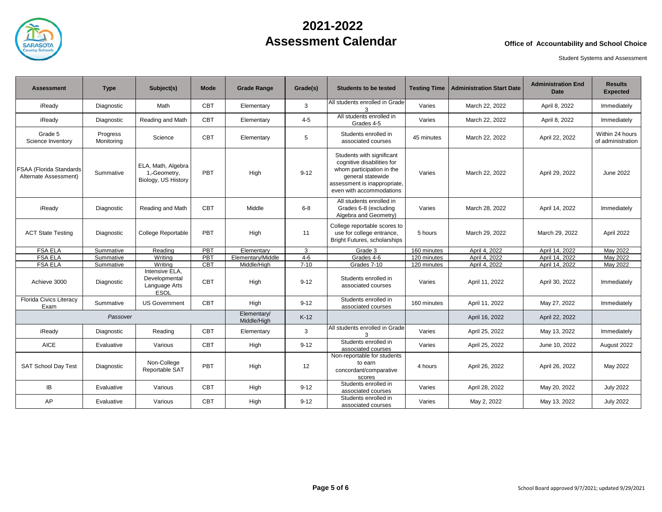

| <b>Assessment</b>                                | <b>Type</b>            | Subject(s)                                                      | Mode       | <b>Grade Range</b>         | Grade(s) | <b>Students to be tested</b>                                                                                                                                          | <b>Testing Time</b> | <b>Administration Start Date</b> | <b>Administration End</b><br><b>Date</b> | <b>Results</b><br><b>Expected</b>    |
|--------------------------------------------------|------------------------|-----------------------------------------------------------------|------------|----------------------------|----------|-----------------------------------------------------------------------------------------------------------------------------------------------------------------------|---------------------|----------------------------------|------------------------------------------|--------------------------------------|
| iReadv                                           | Diagnostic             | Math                                                            | <b>CBT</b> | Elementary                 | 3        | All students enrolled in Grade<br>3                                                                                                                                   | Varies              | March 22, 2022                   | April 8, 2022                            | Immediately                          |
| iReady                                           | Diagnostic             | Reading and Math                                                | <b>CBT</b> | Elementary                 | $4 - 5$  | All students enrolled in<br>Grades 4-5                                                                                                                                | Varies              | March 22, 2022                   | April 8, 2022                            | Immediately                          |
| Grade 5<br>Science Inventory                     | Progress<br>Monitoring | Science                                                         | <b>CBT</b> | Elementary                 | 5        | Students enrolled in<br>associated courses                                                                                                                            | 45 minutes          | March 22, 2022                   | April 22, 2022                           | Within 24 hours<br>of administration |
| FSAA (Florida Standards<br>Alternate Assessment) | Summative              | ELA, Math, Algebra<br>1,-Geometry,<br>Biology, US History       | PBT        | High                       | $9 - 12$ | Students with significant<br>cognitive disabilities for<br>whom participation in the<br>general statewide<br>assessment is inappropriate,<br>even with accommodations | Varies              | March 22, 2022                   | April 29, 2022                           | June 2022                            |
| iReady                                           | Diagnostic             | Reading and Math                                                | <b>CBT</b> | Middle                     | $6-8$    | All students enrolled in<br>Grades 6-8 (excluding<br>Algebra and Geometry)                                                                                            | Varies              | March 28, 2022                   | April 14, 2022                           | Immediately                          |
| <b>ACT State Testing</b>                         | Diagnostic             | <b>College Reportable</b>                                       | PBT        | High                       | 11       | College reportable scores to<br>use for college entrance,<br>Bright Futures, scholarships                                                                             | 5 hours             | March 29, 2022                   | March 29, 2022                           | April 2022                           |
| <b>FSA ELA</b>                                   | Summative              | Reading                                                         | PBT        | Elementary                 | 3        | Grade 3                                                                                                                                                               | 160 minutes         | April 4, 2022                    | April 14, 2022                           | May 2022                             |
| <b>FSA ELA</b>                                   | Summative              | Writing                                                         | PBT        | Elementary/Middle          | $4 - 6$  | Grades 4-6                                                                                                                                                            | 120 minutes         | April 4, 2022                    | April 14, 2022                           | May 2022                             |
| <b>FSA ELA</b>                                   | Summative              | Writina                                                         | <b>CBT</b> | Middle/High                | $7 - 10$ | Grades 7-10                                                                                                                                                           | 120 minutes         | April 4, 2022                    | April 14, 2022                           | May 2022                             |
| Achieve 3000                                     | Diagnostic             | Intensive ELA,<br>Developmental<br>Language Arts<br><b>ESOL</b> | <b>CBT</b> | High                       | $9 - 12$ | Students enrolled in<br>associated courses                                                                                                                            | Varies              | April 11, 2022                   | April 30, 2022                           | Immediately                          |
| Florida Civics Literacy<br>Exam                  | Summative              | <b>US Government</b>                                            | <b>CBT</b> | High                       | $9 - 12$ | Students enrolled in<br>associated courses                                                                                                                            | 160 minutes         | April 11, 2022                   | May 27, 2022                             | Immediately                          |
|                                                  | Passover               |                                                                 |            | Elementary/<br>Middle/High | $K-12$   |                                                                                                                                                                       |                     | April 16, 2022                   | April 22, 2022                           |                                      |
| iReady                                           | Diagnostic             | Reading                                                         | <b>CBT</b> | Elementary                 | 3        | All students enrolled in Grade<br>3                                                                                                                                   | Varies              | April 25, 2022                   | May 13, 2022                             | Immediately                          |
| <b>AICE</b>                                      | Evaluative             | Various                                                         | <b>CBT</b> | High                       | $9 - 12$ | Students enrolled in<br>associated courses                                                                                                                            | Varies              | April 25, 2022                   | June 10, 2022                            | August 2022                          |
| SAT School Day Test                              | Diagnostic             | Non-College<br>Reportable SAT                                   | PBT        | High                       | 12       | Non-reportable for students<br>to earn<br>concordant/comparative<br>scores                                                                                            | 4 hours             | April 26, 2022                   | April 26, 2022                           | May 2022                             |
| IB                                               | Evaluative             | Various                                                         | <b>CBT</b> | High                       | $9 - 12$ | Students enrolled in<br>associated courses                                                                                                                            | Varies              | April 28, 2022                   | May 20, 2022                             | <b>July 2022</b>                     |
| AP                                               | Evaluative             | Various                                                         | <b>CBT</b> | High                       | $9 - 12$ | Students enrolled in<br>associated courses                                                                                                                            | Varies              | May 2, 2022                      | May 13, 2022                             | <b>July 2022</b>                     |